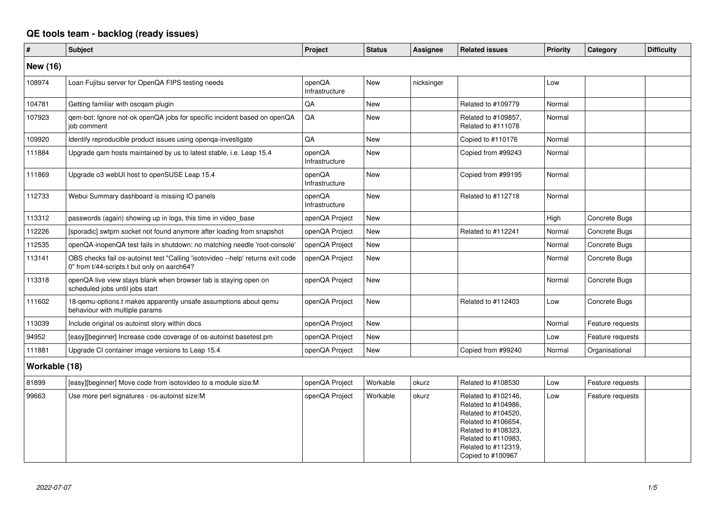## **QE tools team - backlog (ready issues)**

| #               | <b>Subject</b>                                                                                                                 | Project                  | <b>Status</b> | <b>Assignee</b> | <b>Related issues</b>                                                                                                                                                              | <b>Priority</b> | Category         | <b>Difficulty</b> |
|-----------------|--------------------------------------------------------------------------------------------------------------------------------|--------------------------|---------------|-----------------|------------------------------------------------------------------------------------------------------------------------------------------------------------------------------------|-----------------|------------------|-------------------|
| <b>New (16)</b> |                                                                                                                                |                          |               |                 |                                                                                                                                                                                    |                 |                  |                   |
| 108974          | Loan Fujitsu server for OpenQA FIPS testing needs                                                                              | openQA<br>Infrastructure | <b>New</b>    | nicksinger      |                                                                                                                                                                                    | Low             |                  |                   |
| 104781          | Getting familiar with oscqam plugin                                                                                            | QA                       | <b>New</b>    |                 | Related to #109779                                                                                                                                                                 | Normal          |                  |                   |
| 107923          | qem-bot: Ignore not-ok openQA jobs for specific incident based on openQA<br>job comment                                        | QA                       | <b>New</b>    |                 | Related to #109857,<br>Related to #111078                                                                                                                                          | Normal          |                  |                   |
| 109920          | Identify reproducible product issues using openqa-investigate                                                                  | QA                       | <b>New</b>    |                 | Copied to #110176                                                                                                                                                                  | Normal          |                  |                   |
| 111884          | Upgrade qam hosts maintained by us to latest stable, i.e. Leap 15.4                                                            | openQA<br>Infrastructure | <b>New</b>    |                 | Copied from #99243                                                                                                                                                                 | Normal          |                  |                   |
| 111869          | Upgrade o3 webUI host to openSUSE Leap 15.4                                                                                    | openQA<br>Infrastructure | <b>New</b>    |                 | Copied from #99195                                                                                                                                                                 | Normal          |                  |                   |
| 112733          | Webui Summary dashboard is missing IO panels                                                                                   | openQA<br>Infrastructure | <b>New</b>    |                 | Related to #112718                                                                                                                                                                 | Normal          |                  |                   |
| 113312          | passwords (again) showing up in logs, this time in video_base                                                                  | openQA Project           | <b>New</b>    |                 |                                                                                                                                                                                    | High            | Concrete Bugs    |                   |
| 112226          | [sporadic] swtpm socket not found anymore after loading from snapshot                                                          | openQA Project           | <b>New</b>    |                 | Related to #112241                                                                                                                                                                 | Normal          | Concrete Bugs    |                   |
| 112535          | openQA-inopenQA test fails in shutdown: no matching needle 'root-console'                                                      | openQA Project           | <b>New</b>    |                 |                                                                                                                                                                                    | Normal          | Concrete Bugs    |                   |
| 113141          | OBS checks fail os-autoinst test "Calling 'isotovideo --help' returns exit code<br>0" from t/44-scripts.t but only on aarch64? | openQA Project           | <b>New</b>    |                 |                                                                                                                                                                                    | Normal          | Concrete Bugs    |                   |
| 113318          | openQA live view stays blank when browser tab is staying open on<br>scheduled jobs until jobs start                            | openQA Project           | New           |                 |                                                                                                                                                                                    | Normal          | Concrete Bugs    |                   |
| 111602          | 18-gemu-options.t makes apparently unsafe assumptions about gemu<br>behaviour with multiple params                             | openQA Project           | <b>New</b>    |                 | Related to #112403                                                                                                                                                                 | Low             | Concrete Bugs    |                   |
| 113039          | Include original os-autoinst story within docs                                                                                 | openQA Project           | <b>New</b>    |                 |                                                                                                                                                                                    | Normal          | Feature requests |                   |
| 94952           | [easy][beginner] Increase code coverage of os-autoinst basetest.pm                                                             | openQA Project           | <b>New</b>    |                 |                                                                                                                                                                                    | Low             | Feature requests |                   |
| 111881          | Upgrade CI container image versions to Leap 15.4                                                                               | openQA Project           | New           |                 | Copied from #99240                                                                                                                                                                 | Normal          | Organisational   |                   |
| Workable (18)   |                                                                                                                                |                          |               |                 |                                                                                                                                                                                    |                 |                  |                   |
| 81899           | [easy][beginner] Move code from isotovideo to a module size: M                                                                 | openQA Project           | Workable      | okurz           | Related to #108530                                                                                                                                                                 | Low             | Feature requests |                   |
| 99663           | Use more perl signatures - os-autoinst size:M                                                                                  | openQA Project           | Workable      | okurz           | Related to #102146,<br>Related to #104986,<br>Related to #104520,<br>Related to #106654,<br>Related to #108323,<br>Related to #110983,<br>Related to #112319,<br>Copied to #100967 | Low             | Feature requests |                   |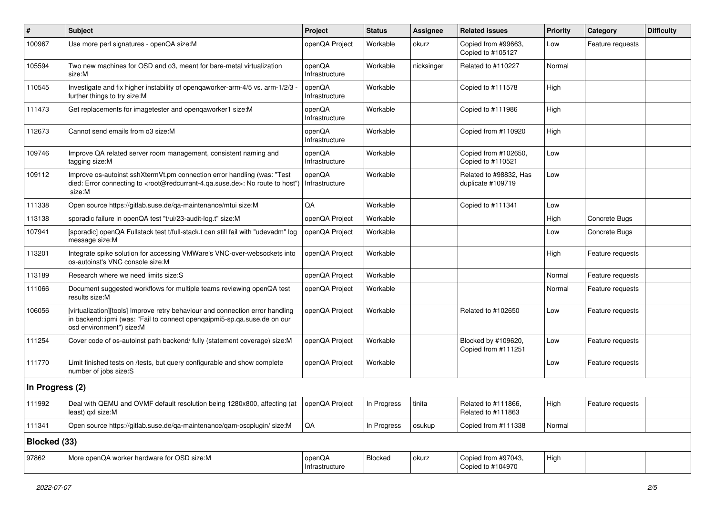| ∦               | <b>Subject</b>                                                                                                                                                                                    | Project                  | <b>Status</b> | <b>Assignee</b> | <b>Related issues</b>                       | <b>Priority</b> | Category         | <b>Difficulty</b> |
|-----------------|---------------------------------------------------------------------------------------------------------------------------------------------------------------------------------------------------|--------------------------|---------------|-----------------|---------------------------------------------|-----------------|------------------|-------------------|
| 100967          | Use more perl signatures - openQA size:M                                                                                                                                                          | openQA Project           | Workable      | okurz           | Copied from #99663,<br>Copied to #105127    | Low             | Feature requests |                   |
| 105594          | Two new machines for OSD and o3, meant for bare-metal virtualization<br>size:M                                                                                                                    | openQA<br>Infrastructure | Workable      | nicksinger      | Related to #110227                          | Normal          |                  |                   |
| 110545          | Investigate and fix higher instability of openqaworker-arm-4/5 vs. arm-1/2/3 -<br>further things to try size:M                                                                                    | openQA<br>Infrastructure | Workable      |                 | Copied to #111578                           | High            |                  |                   |
| 111473          | Get replacements for imagetester and openqaworker1 size:M                                                                                                                                         | openQA<br>Infrastructure | Workable      |                 | Copied to #111986                           | High            |                  |                   |
| 112673          | Cannot send emails from o3 size:M                                                                                                                                                                 | openQA<br>Infrastructure | Workable      |                 | Copied from #110920                         | High            |                  |                   |
| 109746          | Improve QA related server room management, consistent naming and<br>tagging size:M                                                                                                                | openQA<br>Infrastructure | Workable      |                 | Copied from #102650,<br>Copied to #110521   | Low             |                  |                   |
| 109112          | Improve os-autoinst sshXtermVt.pm connection error handling (was: "Test<br>died: Error connecting to <root@redcurrant-4.qa.suse.de>: No route to host")<br/>size:M</root@redcurrant-4.qa.suse.de> | openQA<br>Infrastructure | Workable      |                 | Related to #98832, Has<br>duplicate #109719 | Low             |                  |                   |
| 111338          | Open source https://gitlab.suse.de/qa-maintenance/mtui size:M                                                                                                                                     | QA                       | Workable      |                 | Copied to #111341                           | Low             |                  |                   |
| 113138          | sporadic failure in openQA test "t/ui/23-audit-log.t" size:M                                                                                                                                      | openQA Project           | Workable      |                 |                                             | High            | Concrete Bugs    |                   |
| 107941          | [sporadic] openQA Fullstack test t/full-stack.t can still fail with "udevadm" log<br>message size:M                                                                                               | openQA Project           | Workable      |                 |                                             | Low             | Concrete Bugs    |                   |
| 113201          | Integrate spike solution for accessing VMWare's VNC-over-websockets into<br>os-autoinst's VNC console size:M                                                                                      | openQA Project           | Workable      |                 |                                             | High            | Feature requests |                   |
| 113189          | Research where we need limits size:S                                                                                                                                                              | openQA Project           | Workable      |                 |                                             | Normal          | Feature requests |                   |
| 111066          | Document suggested workflows for multiple teams reviewing openQA test<br>results size:M                                                                                                           | openQA Project           | Workable      |                 |                                             | Normal          | Feature requests |                   |
| 106056          | [virtualization][tools] Improve retry behaviour and connection error handling<br>in backend::ipmi (was: "Fail to connect openqaipmi5-sp.qa.suse.de on our<br>osd environment") size:M             | openQA Project           | Workable      |                 | Related to #102650                          | Low             | Feature requests |                   |
| 111254          | Cover code of os-autoinst path backend/ fully (statement coverage) size:M                                                                                                                         | openQA Project           | Workable      |                 | Blocked by #109620,<br>Copied from #111251  | Low             | Feature requests |                   |
| 111770          | Limit finished tests on /tests, but query configurable and show complete<br>number of jobs size:S                                                                                                 | openQA Project           | Workable      |                 |                                             | Low             | Feature requests |                   |
| In Progress (2) |                                                                                                                                                                                                   |                          |               |                 |                                             |                 |                  |                   |
| 111992          | Deal with QEMU and OVMF default resolution being 1280x800, affecting (at<br>least) gxl size:M                                                                                                     | openQA Project           | In Progress   | tinita          | Related to #111866,<br>Related to #111863   | High            | Feature requests |                   |
| 111341          | Open source https://gitlab.suse.de/qa-maintenance/qam-oscplugin/ size:M                                                                                                                           | QA                       | In Progress   | osukup          | Copied from #111338                         | Normal          |                  |                   |
| Blocked (33)    |                                                                                                                                                                                                   |                          |               |                 |                                             |                 |                  |                   |
| 97862           | More openQA worker hardware for OSD size:M                                                                                                                                                        | openQA<br>Infrastructure | Blocked       | okurz           | Copied from #97043,<br>Copied to #104970    | High            |                  |                   |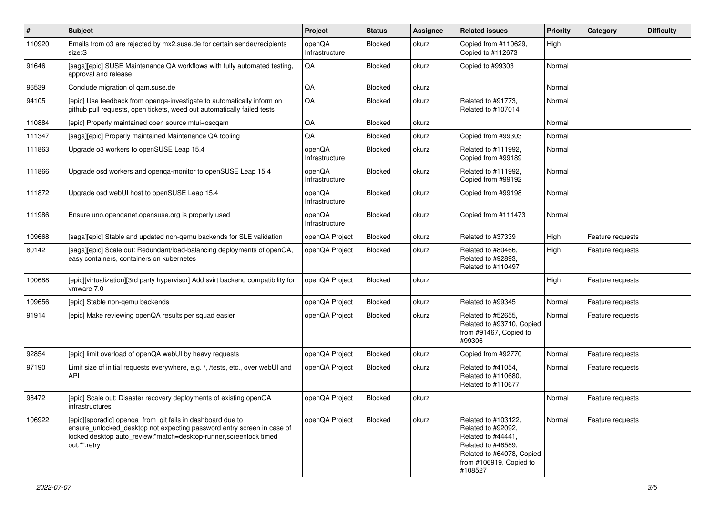| $\vert$ # | <b>Subject</b>                                                                                                                                                                                                             | Project                  | <b>Status</b>  | <b>Assignee</b> | <b>Related issues</b>                                                                                                                                    | <b>Priority</b> | Category         | <b>Difficulty</b> |
|-----------|----------------------------------------------------------------------------------------------------------------------------------------------------------------------------------------------------------------------------|--------------------------|----------------|-----------------|----------------------------------------------------------------------------------------------------------------------------------------------------------|-----------------|------------------|-------------------|
| 110920    | Emails from o3 are rejected by mx2.suse.de for certain sender/recipients<br>size:S                                                                                                                                         | openQA<br>Infrastructure | <b>Blocked</b> | okurz           | Copied from #110629,<br>Copied to #112673                                                                                                                | High            |                  |                   |
| 91646     | [saga][epic] SUSE Maintenance QA workflows with fully automated testing,<br>approval and release                                                                                                                           | QA                       | Blocked        | okurz           | Copied to #99303                                                                                                                                         | Normal          |                  |                   |
| 96539     | Conclude migration of qam.suse.de                                                                                                                                                                                          | QA                       | Blocked        | okurz           |                                                                                                                                                          | Normal          |                  |                   |
| 94105     | [epic] Use feedback from openqa-investigate to automatically inform on<br>github pull requests, open tickets, weed out automatically failed tests                                                                          | QA                       | <b>Blocked</b> | okurz           | Related to #91773,<br>Related to #107014                                                                                                                 | Normal          |                  |                   |
| 110884    | [epic] Properly maintained open source mtui+oscqam                                                                                                                                                                         | QA                       | Blocked        | okurz           |                                                                                                                                                          | Normal          |                  |                   |
| 111347    | [saga][epic] Properly maintained Maintenance QA tooling                                                                                                                                                                    | QA                       | Blocked        | okurz           | Copied from #99303                                                                                                                                       | Normal          |                  |                   |
| 111863    | Upgrade o3 workers to openSUSE Leap 15.4                                                                                                                                                                                   | openQA<br>Infrastructure | <b>Blocked</b> | okurz           | Related to #111992,<br>Copied from #99189                                                                                                                | Normal          |                  |                   |
| 111866    | Upgrade osd workers and openqa-monitor to openSUSE Leap 15.4                                                                                                                                                               | openQA<br>Infrastructure | <b>Blocked</b> | okurz           | Related to #111992,<br>Copied from #99192                                                                                                                | Normal          |                  |                   |
| 111872    | Upgrade osd webUI host to openSUSE Leap 15.4                                                                                                                                                                               | openQA<br>Infrastructure | Blocked        | okurz           | Copied from #99198                                                                                                                                       | Normal          |                  |                   |
| 111986    | Ensure uno.openqanet.opensuse.org is properly used                                                                                                                                                                         | openQA<br>Infrastructure | Blocked        | okurz           | Copied from #111473                                                                                                                                      | Normal          |                  |                   |
| 109668    | [saga][epic] Stable and updated non-gemu backends for SLE validation                                                                                                                                                       | openQA Project           | Blocked        | okurz           | Related to #37339                                                                                                                                        | High            | Feature requests |                   |
| 80142     | [saga][epic] Scale out: Redundant/load-balancing deployments of openQA,<br>easy containers, containers on kubernetes                                                                                                       | openQA Project           | <b>Blocked</b> | okurz           | Related to #80466,<br>Related to #92893.<br>Related to #110497                                                                                           | High            | Feature requests |                   |
| 100688    | [epic][virtualization][3rd party hypervisor] Add svirt backend compatibility for<br>vmware 7.0                                                                                                                             | openQA Project           | <b>Blocked</b> | okurz           |                                                                                                                                                          | High            | Feature requests |                   |
| 109656    | [epic] Stable non-gemu backends                                                                                                                                                                                            | openQA Project           | Blocked        | okurz           | Related to #99345                                                                                                                                        | Normal          | Feature requests |                   |
| 91914     | [epic] Make reviewing openQA results per squad easier                                                                                                                                                                      | openQA Project           | <b>Blocked</b> | okurz           | Related to #52655,<br>Related to #93710, Copied<br>from #91467, Copied to<br>#99306                                                                      | Normal          | Feature requests |                   |
| 92854     | [epic] limit overload of openQA webUI by heavy requests                                                                                                                                                                    | openQA Project           | Blocked        | okurz           | Copied from #92770                                                                                                                                       | Normal          | Feature requests |                   |
| 97190     | Limit size of initial requests everywhere, e.g. /, /tests, etc., over webUI and<br>API                                                                                                                                     | openQA Project           | <b>Blocked</b> | okurz           | Related to #41054,<br>Related to #110680,<br>Related to #110677                                                                                          | Normal          | Feature requests |                   |
| 98472     | [epic] Scale out: Disaster recovery deployments of existing openQA<br>infrastructures                                                                                                                                      | openQA Project           | Blocked        | okurz           |                                                                                                                                                          | Normal          | Feature requests |                   |
| 106922    | [epic][sporadic] openqa_from_git fails in dashboard due to<br>ensure_unlocked_desktop not expecting password entry screen in case of<br>locked desktop auto_review:"match=desktop-runner, screenlock timed<br>out.*":retry | openQA Project           | Blocked        | okurz           | Related to #103122.<br>Related to #92092.<br>Related to #44441,<br>Related to #46589,<br>Related to #64078, Copied<br>from #106919, Copied to<br>#108527 | Normal          | Feature requests |                   |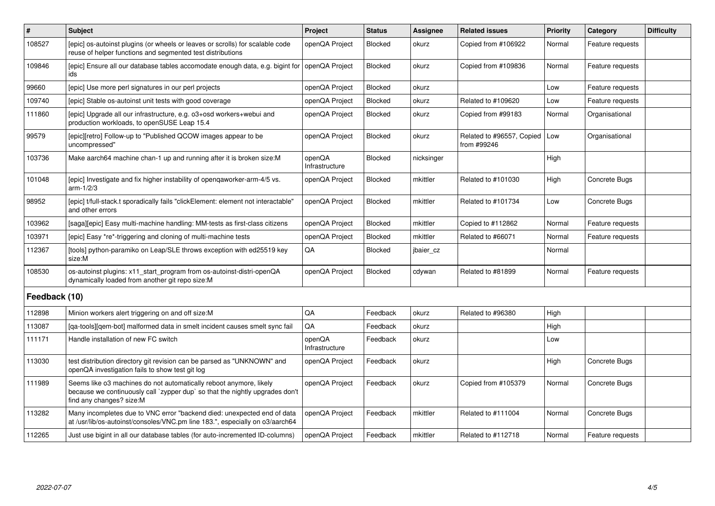| $\vert$ #     | Subject                                                                                                                                                                        | <b>Project</b>           | <b>Status</b>  | <b>Assignee</b> | <b>Related issues</b>                    | Priority | Category         | <b>Difficulty</b> |
|---------------|--------------------------------------------------------------------------------------------------------------------------------------------------------------------------------|--------------------------|----------------|-----------------|------------------------------------------|----------|------------------|-------------------|
| 108527        | [epic] os-autoinst plugins (or wheels or leaves or scrolls) for scalable code<br>reuse of helper functions and segmented test distributions                                    | openQA Project           | Blocked        | okurz           | Copied from #106922                      | Normal   | Feature requests |                   |
| 109846        | [epic] Ensure all our database tables accomodate enough data, e.g. bigint for<br>ids                                                                                           | openQA Project           | Blocked        | okurz           | Copied from #109836                      | Normal   | Feature requests |                   |
| 99660         | [epic] Use more perl signatures in our perl projects                                                                                                                           | openQA Project           | Blocked        | okurz           |                                          | Low      | Feature requests |                   |
| 109740        | [epic] Stable os-autoinst unit tests with good coverage                                                                                                                        | openQA Project           | Blocked        | okurz           | Related to #109620                       | Low      | Feature requests |                   |
| 111860        | [epic] Upgrade all our infrastructure, e.g. o3+osd workers+webui and<br>production workloads, to openSUSE Leap 15.4                                                            | openQA Project           | Blocked        | okurz           | Copied from #99183                       | Normal   | Organisational   |                   |
| 99579         | [epic][retro] Follow-up to "Published QCOW images appear to be<br>uncompressed"                                                                                                | openQA Project           | Blocked        | okurz           | Related to #96557, Copied<br>from #99246 | Low      | Organisational   |                   |
| 103736        | Make aarch64 machine chan-1 up and running after it is broken size:M                                                                                                           | openQA<br>Infrastructure | Blocked        | nicksinger      |                                          | High     |                  |                   |
| 101048        | [epic] Investigate and fix higher instability of opengaworker-arm-4/5 vs.<br>$arm-1/2/3$                                                                                       | openQA Project           | Blocked        | mkittler        | Related to #101030                       | High     | Concrete Bugs    |                   |
| 98952         | [epic] t/full-stack.t sporadically fails "clickElement: element not interactable"<br>and other errors                                                                          | openQA Project           | Blocked        | mkittler        | Related to #101734                       | Low      | Concrete Bugs    |                   |
| 103962        | [saga][epic] Easy multi-machine handling: MM-tests as first-class citizens                                                                                                     | openQA Project           | Blocked        | mkittler        | Copied to #112862                        | Normal   | Feature requests |                   |
| 103971        | [epic] Easy *re*-triggering and cloning of multi-machine tests                                                                                                                 | openQA Project           | <b>Blocked</b> | mkittler        | Related to #66071                        | Normal   | Feature requests |                   |
| 112367        | [tools] python-paramiko on Leap/SLE throws exception with ed25519 key<br>size:M                                                                                                | QA                       | Blocked        | jbaier_cz       |                                          | Normal   |                  |                   |
| 108530        | os-autoinst plugins: x11_start_program from os-autoinst-distri-openQA<br>dynamically loaded from another git repo size:M                                                       | openQA Project           | Blocked        | cdywan          | Related to #81899                        | Normal   | Feature requests |                   |
| Feedback (10) |                                                                                                                                                                                |                          |                |                 |                                          |          |                  |                   |
| 112898        | Minion workers alert triggering on and off size:M                                                                                                                              | QA                       | Feedback       | okurz           | Related to #96380                        | High     |                  |                   |
| 113087        | [ga-tools][gem-bot] malformed data in smelt incident causes smelt sync fail                                                                                                    | QA                       | Feedback       | okurz           |                                          | High     |                  |                   |
| 111171        | Handle installation of new FC switch                                                                                                                                           | openQA<br>Infrastructure | Feedback       | okurz           |                                          | Low      |                  |                   |
| 113030        | test distribution directory git revision can be parsed as "UNKNOWN" and<br>openQA investigation fails to show test git log                                                     | openQA Project           | Feedback       | okurz           |                                          | High     | Concrete Bugs    |                   |
| 111989        | Seems like o3 machines do not automatically reboot anymore, likely<br>because we continuously call `zypper dup` so that the nightly upgrades don't<br>find any changes? size:M | openQA Project           | Feedback       | okurz           | Copied from #105379                      | Normal   | Concrete Bugs    |                   |
| 113282        | Many incompletes due to VNC error "backend died: unexpected end of data<br>at /usr/lib/os-autoinst/consoles/VNC.pm line 183.", especially on o3/aarch64                        | openQA Project           | Feedback       | mkittler        | Related to #111004                       | Normal   | Concrete Bugs    |                   |
| 112265        | Just use bigint in all our database tables (for auto-incremented ID-columns)                                                                                                   | openQA Project           | Feedback       | mkittler        | Related to #112718                       | Normal   | Feature requests |                   |